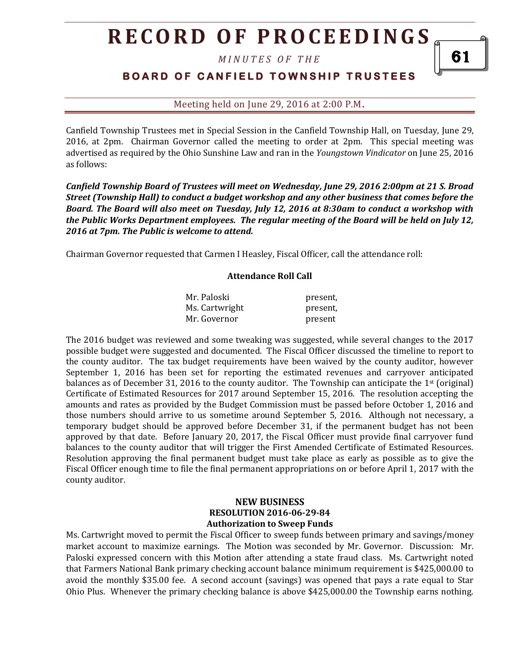# **R E C O R D O F P R O C E E D I N GS**

*M I N U T E S O F T H E* 

## **BOARD OF CANFIELD TOWNSHIP TRUSTEES**

Meeting held on June 29, 2016 at 2:00 P.M**.**

Canfield Township Trustees met in Special Session in the Canfield Township Hall, on Tuesday, June 29, 2016, at 2pm. Chairman Governor called the meeting to order at 2pm. This special meeting was advertised as required by the Ohio Sunshine Law and ran in the *Youngstown Vindicator* on June 25, 2016 as follows:

*Canfield Township Board of Trustees will meet on Wednesday, June 29, 2016 2:00pm at 21 S. Broad Street (Township Hall) to conduct a budget workshop and any other business that comes before the Board. The Board will also meet on Tuesday, July 12, 2016 at 8:30am to conduct a workshop with the Public Works Department employees. The regular meeting of the Board will be held on July 12, 2016 at 7pm. The Public is welcome to attend.*

Chairman Governor requested that Carmen I Heasley, Fiscal Officer, call the attendance roll:

#### **Attendance Roll Call**

| Mr. Paloski    | present, |
|----------------|----------|
| Ms. Cartwright | present, |
| Mr. Governor   | present  |

The 2016 budget was reviewed and some tweaking was suggested, while several changes to the 2017 possible budget were suggested and documented. The Fiscal Officer discussed the timeline to report to the county auditor. The tax budget requirements have been waived by the county auditor, however September 1, 2016 has been set for reporting the estimated revenues and carryover anticipated balances as of December 31, 2016 to the county auditor. The Township can anticipate the 1<sup>st</sup> (original) Certificate of Estimated Resources for 2017 around September 15, 2016. The resolution accepting the amounts and rates as provided by the Budget Commission must be passed before October 1, 2016 and those numbers should arrive to us sometime around September 5, 2016. Although not necessary, a temporary budget should be approved before December 31, if the permanent budget has not been approved by that date. Before January 20, 2017, the Fiscal Officer must provide final carryover fund balances to the county auditor that will trigger the First Amended Certificate of Estimated Resources. Resolution approving the final permanent budget must take place as early as possible as to give the Fiscal Officer enough time to file the final permanent appropriations on or before April 1, 2017 with the county auditor.

### **NEW BUSINESS RESOLUTION 2016-06-29-84 Authorization to Sweep Funds**

Ms. Cartwright moved to permit the Fiscal Officer to sweep funds between primary and savings/money market account to maximize earnings. The Motion was seconded by Mr. Governor. Discussion: Mr. Paloski expressed concern with this Motion after attending a state fraud class. Ms. Cartwright noted that Farmers National Bank primary checking account balance minimum requirement is \$425,000.00 to avoid the monthly \$35.00 fee. A second account (savings) was opened that pays a rate equal to Star Ohio Plus. Whenever the primary checking balance is above \$425,000.00 the Township earns nothing.

61